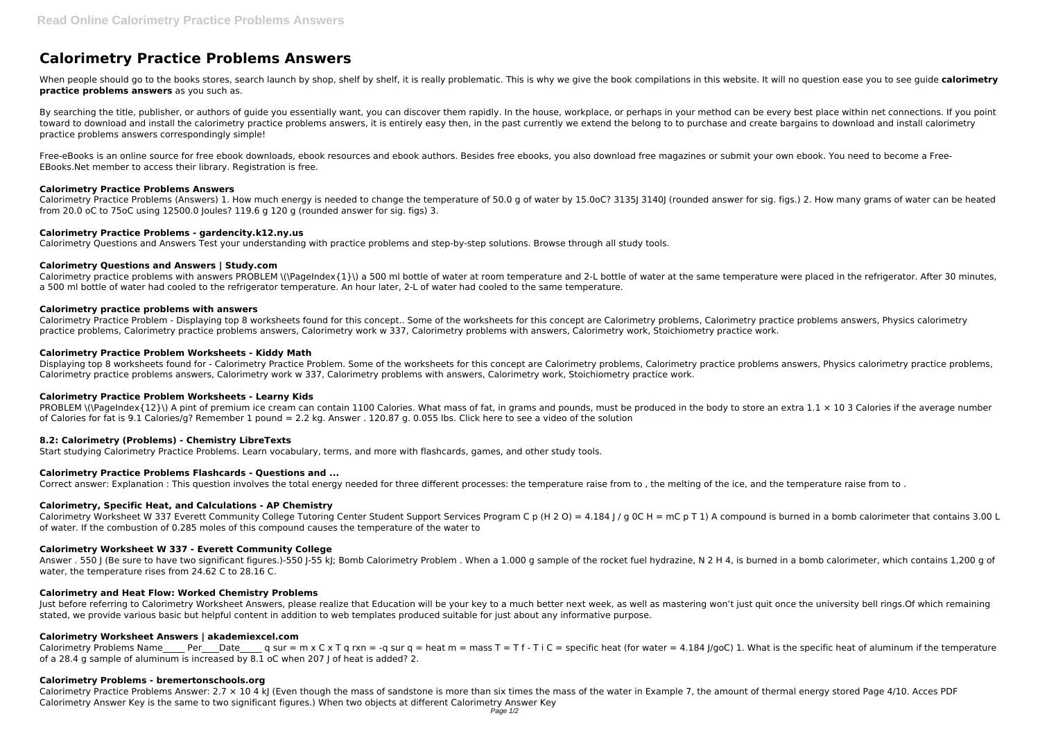# **Calorimetry Practice Problems Answers**

When people should go to the books stores, search launch by shop, shelf by shelf, it is really problematic. This is why we give the book compilations in this website. It will no question ease you to see guide calorimetry **practice problems answers** as you such as.

By searching the title, publisher, or authors of quide you essentially want, you can discover them rapidly. In the house, workplace, or perhaps in your method can be every best place within net connections. If you point toward to download and install the calorimetry practice problems answers, it is entirely easy then, in the past currently we extend the belong to to purchase and create bargains to download and install calorimetry practice problems answers correspondingly simple!

Calorimetry Practice Problems (Answers) 1. How much energy is needed to change the temperature of 50.0 g of water by 15.0oC? 3135J 3140J (rounded answer for sig. figs.) 2. How many grams of water can be heated from 20.0 oC to 75oC using 12500.0 Joules? 119.6 g 120 g (rounded answer for sig. figs) 3.

Free-eBooks is an online source for free ebook downloads, ebook resources and ebook authors. Besides free ebooks, you also download free magazines or submit your own ebook. You need to become a Free-EBooks.Net member to access their library. Registration is free.

Calorimetry practice problems with answers PROBLEM \(\PageIndex{1}\) a 500 ml bottle of water at room temperature and 2-L bottle of water at the same temperature were placed in the refrigerator. After 30 minutes, a 500 ml bottle of water had cooled to the refrigerator temperature. An hour later, 2-L of water had cooled to the same temperature.

## **Calorimetry Practice Problems Answers**

Calorimetry Practice Problem - Displaying top 8 worksheets found for this concept.. Some of the worksheets for this concept are Calorimetry problems, Calorimetry practice problems answers, Physics calorimetry practice problems, Calorimetry practice problems answers, Calorimetry work w 337, Calorimetry problems with answers, Calorimetry work, Stoichiometry practice work.

## **Calorimetry Practice Problems - gardencity.k12.ny.us**

Calorimetry Questions and Answers Test your understanding with practice problems and step-by-step solutions. Browse through all study tools.

PROBLEM \(\PageIndex{12}\) A pint of premium ice cream can contain 1100 Calories. What mass of fat, in grams and pounds, must be produced in the body to store an extra 1.1  $\times$  10 3 Calories if the average number of Calories for fat is 9.1 Calories/g? Remember 1 pound = 2.2 kg. Answer . 120.87 g. 0.055 lbs. Click here to see a video of the solution

## **Calorimetry Questions and Answers | Study.com**

Calorimetry Worksheet W 337 Everett Community College Tutoring Center Student Support Services Program C p (H 2 O) = 4.184 | / q 0C H = mC p T 1) A compound is burned in a bomb calorimeter that contains 3.00 L of water. If the combustion of 0.285 moles of this compound causes the temperature of the water to

## **Calorimetry practice problems with answers**

Answer . 550 | (Be sure to have two significant figures.)-550 |-55 kJ; Bomb Calorimetry Problem . When a 1.000 g sample of the rocket fuel hydrazine, N 2 H 4, is burned in a bomb calorimeter, which contains 1,200 g of water, the temperature rises from 24.62 C to 28.16 C.

Just before referring to Calorimetry Worksheet Answers, please realize that Education will be your key to a much better next week, as well as mastering won't just quit once the university bell rings. Of which remaining stated, we provide various basic but helpful content in addition to web templates produced suitable for just about any informative purpose.

## **Calorimetry Practice Problem Worksheets - Kiddy Math**

Calorimetry Problems Name Per Date q sur = m x C x T q rxn = -q sur q = heat m = mass T = T f - T i C = specific heat (for water = 4.184 J/goC) 1. What is the specific heat of aluminum if the temperature of a 28.4 g sample of aluminum is increased by 8.1 oC when 207 J of heat is added? 2.

Displaying top 8 worksheets found for - Calorimetry Practice Problem. Some of the worksheets for this concept are Calorimetry problems, Calorimetry practice problems answers, Physics calorimetry practice problems, Calorimetry practice problems answers, Calorimetry work w 337, Calorimetry problems with answers, Calorimetry work, Stoichiometry practice work.

Calorimetry Practice Problems Answer:  $2.7 \times 10.4$  kJ (Even though the mass of sandstone is more than six times the mass of the water in Example 7, the amount of thermal energy stored Page 4/10. Acces PDF Calorimetry Answer Key is the same to two significant figures.) When two objects at different Calorimetry Answer Key

# **Calorimetry Practice Problem Worksheets - Learny Kids**

# **8.2: Calorimetry (Problems) - Chemistry LibreTexts**

Start studying Calorimetry Practice Problems. Learn vocabulary, terms, and more with flashcards, games, and other study tools.

# **Calorimetry Practice Problems Flashcards - Questions and ...**

Correct answer: Explanation : This question involves the total energy needed for three different processes: the temperature raise from to, the melting of the ice, and the temperature raise from to.

# **Calorimetry, Specific Heat, and Calculations - AP Chemistry**

#### **Calorimetry Worksheet W 337 - Everett Community College**

#### **Calorimetry and Heat Flow: Worked Chemistry Problems**

# **Calorimetry Worksheet Answers | akademiexcel.com**

#### **Calorimetry Problems - bremertonschools.org**